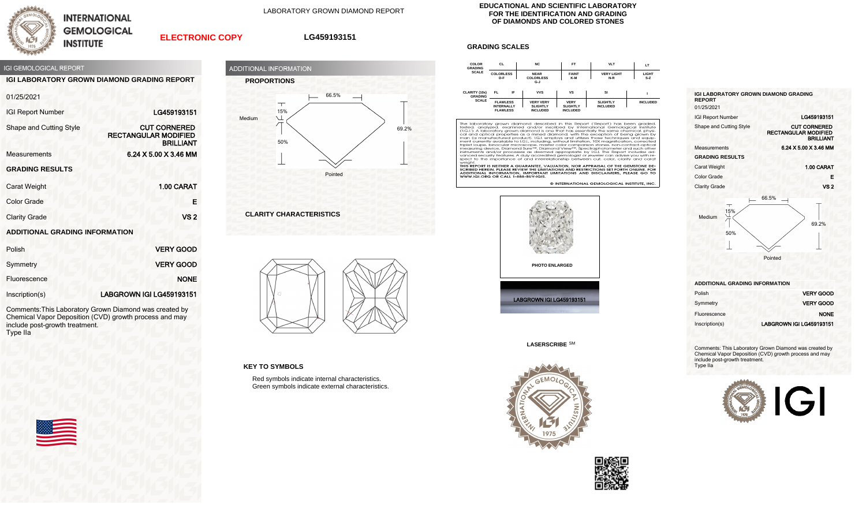

**INTERNATIONAL GEMOLOGICAL INSTITUTE** 

LABORATORY GROWN DIAMOND REPORT

## **ELECTRONIC COPY**

## **LG459193151**



**IGI LABORATORY GROWN DIAMOND GRADING REPORT**

|  |  | 01/25/2021 |  |  |
|--|--|------------|--|--|
|  |  |            |  |  |

| <b>IGI Report Number</b>              | LG459193151                                                            |
|---------------------------------------|------------------------------------------------------------------------|
| Shape and Cutting Style               | <b>CUT CORNERED</b><br><b>RECTANGULAR MODIFIED</b><br><b>BRILLIANT</b> |
| <b>Measurements</b>                   | 6.24 X 5.00 X 3.46 MM                                                  |
| <b>GRADING RESULTS</b>                |                                                                        |
| <b>Carat Weight</b>                   | 1.00 CARAT                                                             |
| <b>Color Grade</b>                    | F                                                                      |
| <b>Clarity Grade</b>                  | VS <sub>2</sub>                                                        |
| <b>ADDITIONAL GRADING INFORMATION</b> |                                                                        |

| Polish         | <b>VERY GOOD</b>         |
|----------------|--------------------------|
| Symmetry       | <b>VERY GOOD</b>         |
| Fluorescence   | <b>NONE</b>              |
| Inscription(s) | LABGROWN IGI LG459193151 |

Comments:This Laboratory Grown Diamond was created by Chemical Vapor Deposition (CVD) growth process and may include post-growth treatment. Type IIa





**CLARITY CHARACTERISTICS**



**KEY TO SYMBOLS**

Red symbols indicate internal characteristics. Green symbols indicate external characteristics.

## **EDUCATIONAL AND SCIENTIFIC LABORATORY FOR THE IDENTIFICATION AND GRADING OF DIAMONDS AND COLORED STONES**

## **GRADING SCALES**



The laboratory grown diamond described in this Report (Report) has been graded, tested, analyzed, examined and/or insertied by intendictional Gemological Institute (1.6.1). A laboratory grown diamond sone that has essentia spect to the importance of and interrelationship between cut, color, clarity and cara

Spect to the importance of and interferancismip between car, color, citativ and cardinal weight.<br>THIS REPORT IS NEITHER A GUARANTEE, VALUATION, NOR APPRAISAL OF THE GEMSTONE DE-<br>SCRIBED HEREIN. PLEASE REVIEW THE IMITATIONS

© INTERNATIONAL GEMOLOGICAL INSTITUTE. INC



**LASERSCRIBE** SM





| <b>IGI LABORATORY GROWN DIAMOND GRADING</b><br><b>REPORT</b><br>01/25/2021 |                                                                        |
|----------------------------------------------------------------------------|------------------------------------------------------------------------|
| <b>IGI Report Number</b>                                                   | LG459193151                                                            |
| Shape and Cutting Style                                                    | <b>CUT CORNERED</b><br><b>RECTANGULAR MODIFIED</b><br><b>BRILLIANT</b> |
| Measurements                                                               | 6.24 X 5.00 X 3.46 MM                                                  |
| <b>GRADING RESULTS</b>                                                     |                                                                        |
| <b>Carat Weight</b>                                                        | 1.00 CARAT                                                             |
| Color Grade                                                                | Е                                                                      |
| <b>Clarity Grade</b>                                                       | VS 2                                                                   |
|                                                                            | 66.5%                                                                  |



**ADDITIONAL GRADING INFORMATION**

| Polish         | <b>VERY GOOD</b>         |  |
|----------------|--------------------------|--|
| Symmetry       | <b>VERY GOOD</b>         |  |
| Fluorescence   | <b>NONE</b>              |  |
| Inscription(s) | LABGROWN IGI LG459193151 |  |

Comments: This Laboratory Grown Diamond was created by Chemical Vapor Deposition (CVD) growth process and may include post-growth treatment. Type IIa